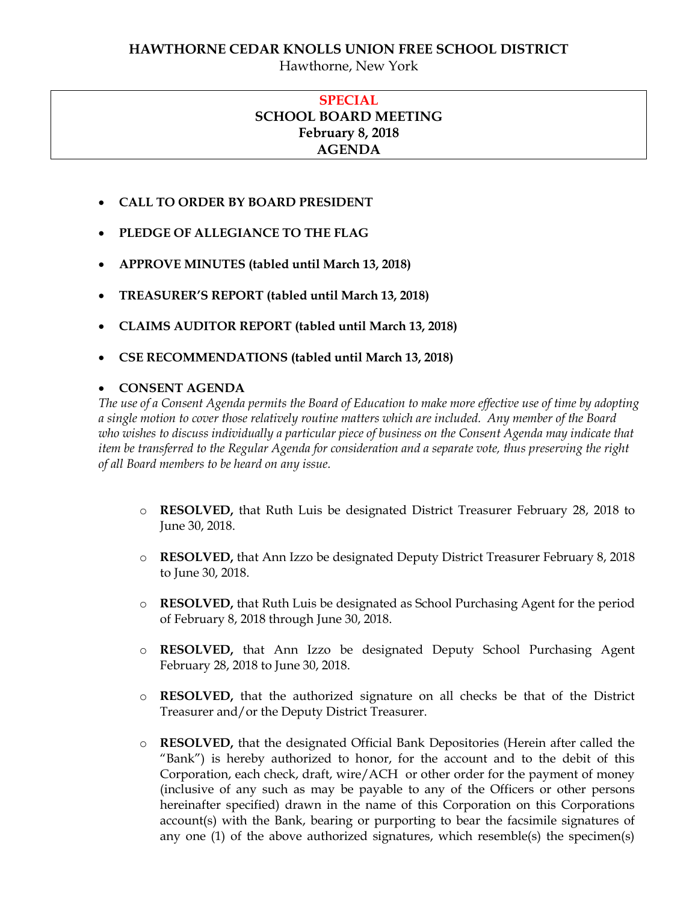# **HAWTHORNE CEDAR KNOLLS UNION FREE SCHOOL DISTRICT**

Hawthorne, New York

## **SPECIAL SCHOOL BOARD MEETING February 8, 2018 AGENDA**

- **CALL TO ORDER BY BOARD PRESIDENT**
- **PLEDGE OF ALLEGIANCE TO THE FLAG**
- **APPROVE MINUTES (tabled until March 13, 2018)**
- **TREASURER'S REPORT (tabled until March 13, 2018)**
- **CLAIMS AUDITOR REPORT (tabled until March 13, 2018)**
- **CSE RECOMMENDATIONS (tabled until March 13, 2018)**

### **CONSENT AGENDA**

*The use of a Consent Agenda permits the Board of Education to make more effective use of time by adopting a single motion to cover those relatively routine matters which are included. Any member of the Board who wishes to discuss individually a particular piece of business on the Consent Agenda may indicate that item be transferred to the Regular Agenda for consideration and a separate vote, thus preserving the right of all Board members to be heard on any issue.* 

- o **RESOLVED,** that Ruth Luis be designated District Treasurer February 28, 2018 to June 30, 2018.
- o **RESOLVED,** that Ann Izzo be designated Deputy District Treasurer February 8, 2018 to June 30, 2018.
- o **RESOLVED,** that Ruth Luis be designated as School Purchasing Agent for the period of February 8, 2018 through June 30, 2018.
- o **RESOLVED,** that Ann Izzo be designated Deputy School Purchasing Agent February 28, 2018 to June 30, 2018.
- o **RESOLVED,** that the authorized signature on all checks be that of the District Treasurer and/or the Deputy District Treasurer.
- o **RESOLVED,** that the designated Official Bank Depositories (Herein after called the "Bank") is hereby authorized to honor, for the account and to the debit of this Corporation, each check, draft, wire/ACH or other order for the payment of money (inclusive of any such as may be payable to any of the Officers or other persons hereinafter specified) drawn in the name of this Corporation on this Corporations account(s) with the Bank, bearing or purporting to bear the facsimile signatures of any one (1) of the above authorized signatures, which resemble(s) the specimen(s)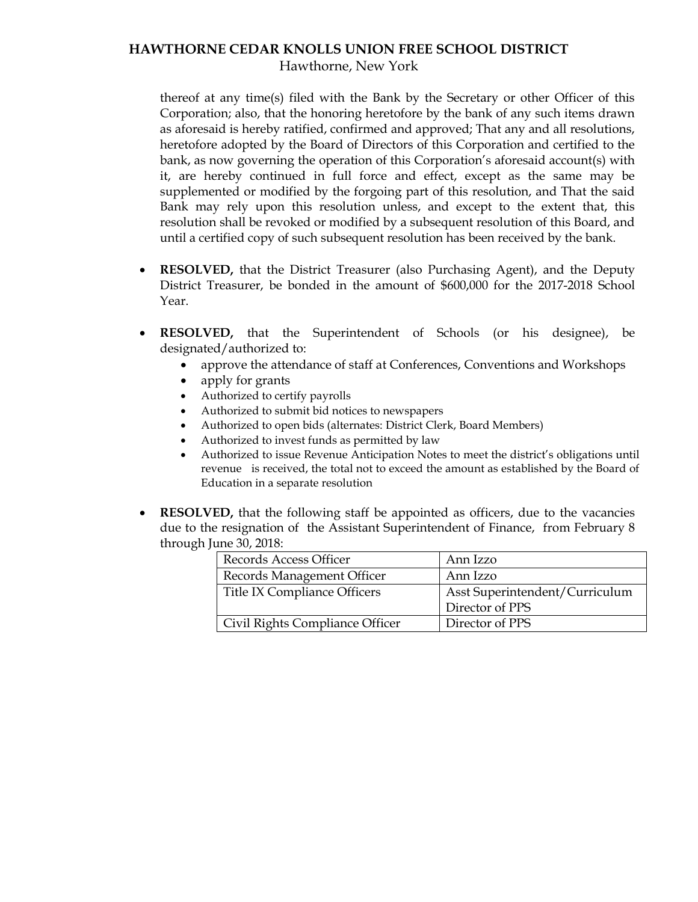### **HAWTHORNE CEDAR KNOLLS UNION FREE SCHOOL DISTRICT** Hawthorne, New York

thereof at any time(s) filed with the Bank by the Secretary or other Officer of this Corporation; also, that the honoring heretofore by the bank of any such items drawn as aforesaid is hereby ratified, confirmed and approved; That any and all resolutions, heretofore adopted by the Board of Directors of this Corporation and certified to the bank, as now governing the operation of this Corporation's aforesaid account(s) with it, are hereby continued in full force and effect, except as the same may be supplemented or modified by the forgoing part of this resolution, and That the said Bank may rely upon this resolution unless, and except to the extent that, this resolution shall be revoked or modified by a subsequent resolution of this Board, and until a certified copy of such subsequent resolution has been received by the bank.

- **RESOLVED,** that the District Treasurer (also Purchasing Agent), and the Deputy District Treasurer, be bonded in the amount of \$600,000 for the 2017-2018 School Year.
- **RESOLVED,** that the Superintendent of Schools (or his designee), be designated/authorized to:
	- approve the attendance of staff at Conferences, Conventions and Workshops
	- apply for grants
	- Authorized to certify payrolls
	- Authorized to submit bid notices to newspapers
	- Authorized to open bids (alternates: District Clerk, Board Members)
	- Authorized to invest funds as permitted by law
	- Authorized to issue Revenue Anticipation Notes to meet the district's obligations until revenue is received, the total not to exceed the amount as established by the Board of Education in a separate resolution
- **RESOLVED,** that the following staff be appointed as officers, due to the vacancies due to the resignation of the Assistant Superintendent of Finance, from February 8 through June 30, 2018:

| Records Access Officer          | Ann Izzo                       |
|---------------------------------|--------------------------------|
| Records Management Officer      | Ann Izzo                       |
| Title IX Compliance Officers    | Asst Superintendent/Curriculum |
|                                 | Director of PPS                |
| Civil Rights Compliance Officer | Director of PPS                |